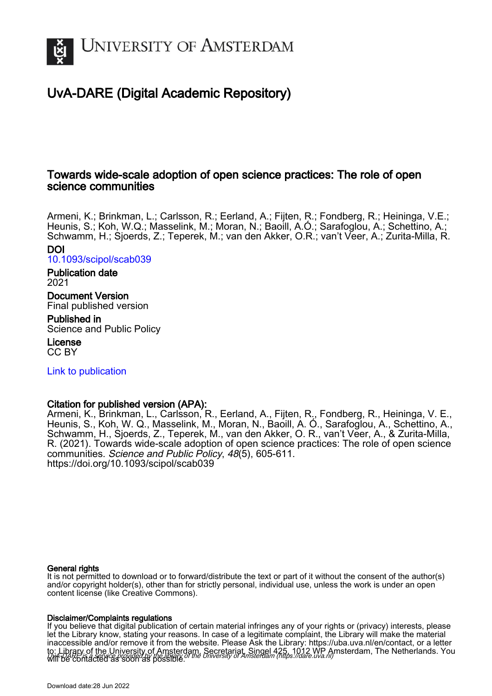

# UvA-DARE (Digital Academic Repository)

# Towards wide-scale adoption of open science practices: The role of open science communities

Armeni, K.; Brinkman, L.; Carlsson, R.; Eerland, A.; Fijten, R.; Fondberg, R.; Heininga, V.E.; Heunis, S.; Koh, W.Q.; Masselink, M.; Moran, N.; Baoill, A.Ó.; Sarafoglou, A.; Schettino, A.; Schwamm, H.; Sjoerds, Z.; Teperek, M.; van den Akker, O.R.; van't Veer, A.; Zurita-Milla, R. DOI

[10.1093/scipol/scab039](https://doi.org/10.1093/scipol/scab039)

Publication date 2021

Document Version Final published version

Published in Science and Public Policy

License CC BY

[Link to publication](https://dare.uva.nl/personal/pure/en/publications/towards-widescale-adoption-of-open-science-practices-the-role-of-open-science-communities(f64adfcb-e299-4cca-80c1-bb6e021ac06a).html)

# Citation for published version (APA):

Armeni, K., Brinkman, L., Carlsson, R., Eerland, A., Fijten, R., Fondberg, R., Heininga, V. E., Heunis, S., Koh, W. Q., Masselink, M., Moran, N., Baoill, A. Ó., Sarafoglou, A., Schettino, A., Schwamm, H., Sjoerds, Z., Teperek, M., van den Akker, O. R., van't Veer, A., & Zurita-Milla, R. (2021). Towards wide-scale adoption of open science practices: The role of open science communities. Science and Public Policy, 48(5), 605-611. <https://doi.org/10.1093/scipol/scab039>

# General rights

It is not permitted to download or to forward/distribute the text or part of it without the consent of the author(s) and/or copyright holder(s), other than for strictly personal, individual use, unless the work is under an open content license (like Creative Commons).

# Disclaimer/Complaints regulations

UvA-DARE is a service provided by the library of the University of Amsterdam (http*s*://dare.uva.nl) If you believe that digital publication of certain material infringes any of your rights or (privacy) interests, please let the Library know, stating your reasons. In case of a legitimate complaint, the Library will make the material inaccessible and/or remove it from the website. Please Ask the Library: https://uba.uva.nl/en/contact, or a letter to: Library of the University of Amsterdam, Secretariat, Singel 425, 1012 WP Amsterdam, The Netherlands. You will be contacted as soon as possible.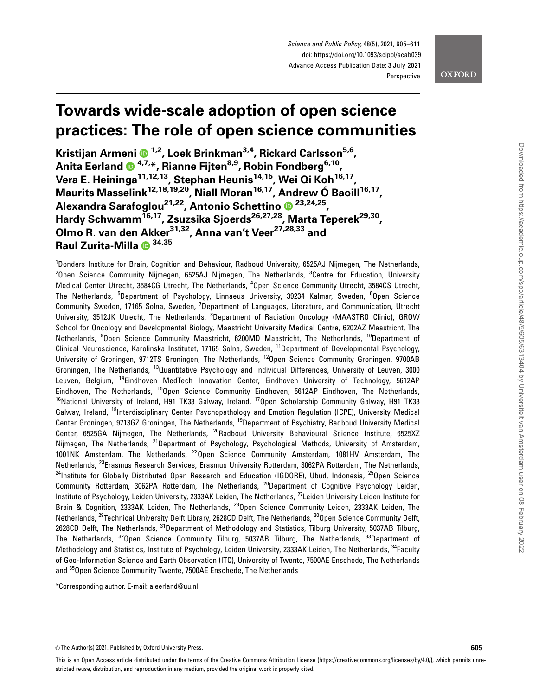Science and Public Policy, 48(5), 2021, 605–611 doi: https://doi.org/10.1093/scipol/scab039 Advance Access Publication Date: 3 July 2021 Perspective

# **OXFORD**

# Towards wide-scale adoption of open science practices: The role of open science communities

Kristijan Armeni <sup>1,2</sup>, Loek Brinkman<sup>3,4</sup>, Rickard Carlsson<sup>5,6</sup>, Anita Eerland <sup>® 4,7,\*</sup>, Rianne Fijten<sup>8,9</sup>, Robin Fondberg<sup>6,10</sup>, Vera E. Heininga<sup>11,12,13</sup>, Stephan Heunis<sup>14,15</sup>, Wei Qi Koh<sup>16,17</sup>, Maurits Masselink<sup>12,18,19,20</sup>, Niall Moran<sup>16,17</sup>, Andrew Ó Baoill<sup>16,17</sup>, Alexandra Sarafoglou<sup>21,22</sup>, Antonio Schettino <sup>23,24,25</sup>, Hardy Schwamm<sup>16,17</sup>, Zsuzsika Sjoerds<sup>26,27,28</sup>, Marta Teperek<sup>29,30</sup>, Olmo R. van den Akker<sup>31,32</sup>, Anna van't Veer<sup>27,28,33</sup> and Raul Zurita-Milla  $\bullet$  34,35

<sup>1</sup>Donders Institute for Brain, Cognition and Behaviour, Radboud University, 6525AJ Nijmegen, The Netherlands,  $^{2}$ Open Science Community Nijmegen, 6525AJ Nijmegen, The Netherlands,  $^{3}$ Centre for Education, University Medical Center Utrecht, 3584CG Utrecht, The Netherlands, <sup>4</sup>Open Science Community Utrecht, 3584CS Utrecht, The Netherlands, <sup>5</sup>Department of Psychology, Linnaeus University, 39234 Kalmar, Sweden, <sup>6</sup>Open Science Community Sweden, 17165 Solna, Sweden, <sup>7</sup>Department of Languages, Literature, and Communication, Utrecht University, 3512JK Utrecht, The Netherlands, <sup>8</sup>Department of Radiation Oncology (MAASTRO Clinic), GROW School for Oncology and Developmental Biology, Maastricht University Medical Centre, 6202AZ Maastricht, The Netherlands, <sup>9</sup>Open Science Community Maastricht, 6200MD Maastricht, The Netherlands, <sup>10</sup>Department of Clinical Neuroscience, Karolinska Institutet, 17165 Solna, Sweden, 11Department of Developmental Psychology, University of Groningen, 9712TS Groningen, The Netherlands, 12Open Science Community Groningen, 9700AB Groningen, The Netherlands, 13Quantitative Psychology and Individual Differences, University of Leuven, 3000 Leuven, Belgium, 14Eindhoven MedTech Innovation Center, Eindhoven University of Technology, 5612AP Eindhoven, The Netherlands, <sup>15</sup>Open Science Community Eindhoven, 5612AP Eindhoven, The Netherlands, <sup>16</sup>National University of Ireland, H91 TK33 Galway, Ireland, <sup>17</sup>Open Scholarship Community Galway, H91 TK33 Galway, Ireland, <sup>18</sup>Interdisciplinary Center Psychopathology and Emotion Regulation (ICPE), University Medical Center Groningen, 9713GZ Groningen, The Netherlands, <sup>19</sup>Department of Psychiatry, Radboud University Medical Center, 6525GA Nijmegen, The Netherlands, <sup>20</sup>Radboud University Behavioural Science Institute, 6525XZ Nijmegen, The Netherlands, <sup>21</sup>Department of Psychology, Psychological Methods, University of Amsterdam, 1001NK Amsterdam, The Netherlands, 22Open Science Community Amsterdam, 1081HV Amsterdam, The Netherlands, <sup>23</sup>Erasmus Research Services, Erasmus University Rotterdam, 3062PA Rotterdam, The Netherlands, <sup>24</sup>Institute for Globally Distributed Open Research and Education (IGDORE), Ubud, Indonesia, <sup>25</sup>Open Science Community Rotterdam, 3062PA Rotterdam, The Netherlands, 26Department of Cognitive Psychology Leiden, Institute of Psychology, Leiden University, 2333AK Leiden, The Netherlands, <sup>27</sup>Leiden University Leiden Institute for Brain & Cognition, 2333AK Leiden, The Netherlands, <sup>28</sup>Open Science Community Leiden, 2333AK Leiden, The Netherlands, <sup>29</sup>Technical University Delft Library, 2628CD Delft, The Netherlands, <sup>30</sup>Open Science Community Delft, 2628CD Delft, The Netherlands, <sup>31</sup>Department of Methodology and Statistics, Tilburg University, 5037AB Tilburg, The Netherlands, 32Open Science Community Tilburg, 5037AB Tilburg, The Netherlands, 33Department of Methodology and Statistics, Institute of Psychology, Leiden University, 2333AK Leiden, The Netherlands, <sup>34</sup>Faculty of Geo-Information Science and Earth Observation (ITC), University of Twente, 7500AE Enschede, The Netherlands and 35Open Science Community Twente, 7500AE Enschede, The Netherlands

\*Corresponding author. E-mail: a.eerland@uu.nl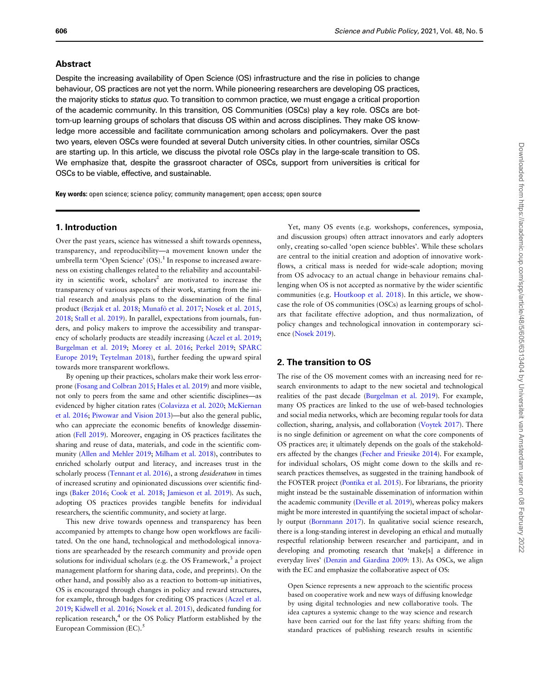#### Abstract

Despite the increasing availability of Open Science (OS) infrastructure and the rise in policies to change behaviour, OS practices are not yet the norm. While pioneering researchers are developing OS practices, the majority sticks to *status quo*. To transition to common practice, we must engage a critical proportion of the academic community. In this transition, OS Communities (OSCs) play a key role. OSCs are bottom-up learning groups of scholars that discuss OS within and across disciplines. They make OS knowledge more accessible and facilitate communication among scholars and policymakers. Over the past two years, eleven OSCs were founded at several Dutch university cities. In other countries, similar OSCs are starting up. In this article, we discuss the pivotal role OSCs play in the large-scale transition to OS. We emphasize that, despite the grassroot character of OSCs, support from universities is critical for OSCs to be viable, effective, and sustainable.

Key words: open science; science policy; community management; open access; open source

## 1. Introduction

Over the past years, science has witnessed a shift towards openness, transparency, and reproducibility—a movement known under the umbrella term 'Open Science'  $(OS)$ .<sup>1</sup> In response to increased awareness on existing challenges related to the reliability and accountability in scientific work,  $scholars<sup>2</sup>$  are motivated to increase the transparency of various aspects of their work, starting from the initial research and analysis plans to the dissemination of the final product [\(Bezjak et al. 2018](#page-6-0); Munafò et al. 2017; [Nosek et al. 2015,](#page-7-0) [2018;](#page-7-0) [Stall et al. 2019\)](#page-7-0). In parallel, expectations from journals, funders, and policy makers to improve the accessibility and transparency of scholarly products are steadily increasing ([Aczel et al. 2019;](#page-6-0) [Burgelman et al. 2019](#page-7-0); [Morey et al. 2016;](#page-7-0) [Perkel 2019](#page-7-0); [SPARC](#page-7-0) [Europe 2019;](#page-7-0) [Teytelman 2018](#page-7-0)), further feeding the upward spiral towards more transparent workflows.

By opening up their practices, scholars make their work less errorprone [\(Fosang and Colbran 2015](#page-7-0); [Hales et al. 2019](#page-7-0)) and more visible, not only to peers from the same and other scientific disciplines—as evidenced by higher citation rates [\(Colavizza et al. 2020](#page-7-0); [McKiernan](#page-7-0) [et al. 2016;](#page-7-0) [Piwowar and Vision 2013\)](#page-7-0)—but also the general public, who can appreciate the economic benefits of knowledge dissemination ([Fell 2019](#page-7-0)). Moreover, engaging in OS practices facilitates the sharing and reuse of data, materials, and code in the scientific community [\(Allen and Mehler 2019;](#page-6-0) [Milham et al. 2018\)](#page-7-0), contributes to enriched scholarly output and literacy, and increases trust in the scholarly process [\(Tennant et al. 2016](#page-7-0)), a strong *desideratum* in times of increased scrutiny and opinionated discussions over scientific findings ([Baker 2016;](#page-6-0) [Cook et al. 2018](#page-7-0); [Jamieson et al. 2019\)](#page-7-0). As such, adopting OS practices provides tangible benefits for individual researchers, the scientific community, and society at large.

This new drive towards openness and transparency has been accompanied by attempts to change how open workflows are facilitated. On the one hand, technological and methodological innovations are spearheaded by the research community and provide open solutions for individual scholars (e.g. the OS Framework, $3$  a project management platform for sharing data, code, and preprints). On the other hand, and possibly also as a reaction to bottom-up initiatives, OS is encouraged through changes in policy and reward structures, for example, through badges for crediting OS practices ([Aczel et al.](#page-6-0) [2019;](#page-6-0) [Kidwell et al. 2016;](#page-7-0) [Nosek et al. 2015](#page-7-0)), dedicated funding for replication research, $4$  or the OS Policy Platform established by the European Commission (EC). $5$ 

Yet, many OS events (e.g. workshops, conferences, symposia, and discussion groups) often attract innovators and early adopters only, creating so-called 'open science bubbles'. While these scholars are central to the initial creation and adoption of innovative workflows, a critical mass is needed for wide-scale adoption; moving from OS advocacy to an actual change in behaviour remains challenging when OS is not accepted as normative by the wider scientific communities (e.g. [Houtkoop et al. 2018](#page-7-0)). In this article, we showcase the role of OS communities (OSCs) as learning groups of scholars that facilitate effective adoption, and thus normalization, of policy changes and technological innovation in contemporary science ([Nosek 2019\)](#page-7-0).

# 2. The transition to OS

The rise of the OS movement comes with an increasing need for research environments to adapt to the new societal and technological realities of the past decade [\(Burgelman et al. 2019\)](#page-7-0). For example, many OS practices are linked to the use of web-based technologies and social media networks, which are becoming regular tools for data collection, sharing, analysis, and collaboration [\(Voytek 2017](#page-7-0)). There is no single definition or agreement on what the core components of OS practices are; it ultimately depends on the goals of the stakeholders affected by the changes ([Fecher and Friesike 2014](#page-7-0)). For example, for individual scholars, OS might come down to the skills and research practices themselves, as suggested in the training handbook of the FOSTER project [\(Pontika et al. 2015](#page-7-0)). For librarians, the priority might instead be the sustainable dissemination of information within the academic community [\(Deville et al. 2019\)](#page-7-0), whereas policy makers might be more interested in quantifying the societal impact of scholarly output ([Bornmann 2017\)](#page-7-0). In qualitative social science research, there is a long-standing interest in developing an ethical and mutually respectful relationship between researcher and participant, and in developing and promoting research that 'make[s] a difference in everyday lives' [\(Denzin and Giardina 2009:](#page-7-0) 13). As OSCs, we align with the EC and emphasize the collaborative aspect of OS:

Open Science represents a new approach to the scientific process based on cooperative work and new ways of diffusing knowledge by using digital technologies and new collaborative tools. The idea captures a systemic change to the way science and research have been carried out for the last fifty years: shifting from the standard practices of publishing research results in scientific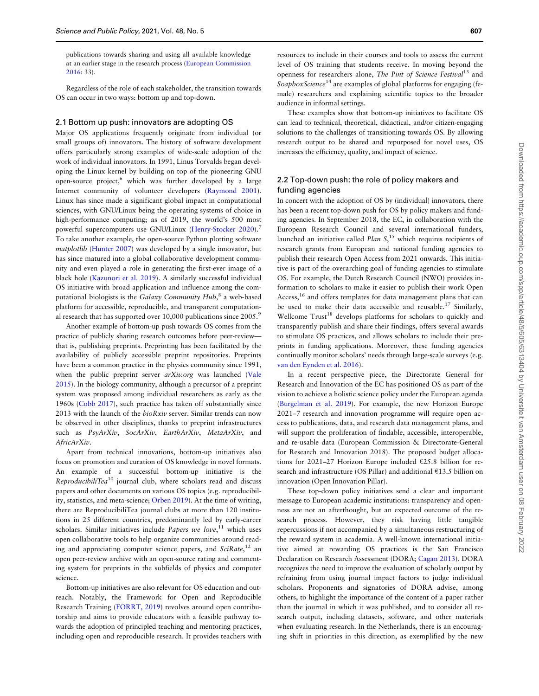publications towards sharing and using all available knowledge at an earlier stage in the research process ([European Commission](#page-7-0) [2016:](#page-7-0) 33).

Regardless of the role of each stakeholder, the transition towards OS can occur in two ways: bottom up and top-down.

#### 2.1 Bottom up push: innovators are adopting OS

Major OS applications frequently originate from individual (or small groups of) innovators. The history of software development offers particularly strong examples of wide-scale adoption of the work of individual innovators. In 1991, Linus Torvalds began developing the Linux kernel by building on top of the pioneering GNU open-source project,<sup>6</sup> which was further developed by a large Internet community of volunteer developers [\(Raymond 2001](#page-7-0)). Linux has since made a significant global impact in computational sciences, with GNU/Linux being the operating systems of choice in high-performance computing; as of 2019, the world's 500 most powerful supercomputers use GNU/Linux ([Henry-Stocker 2020\)](#page-7-0).<sup>7</sup> To take another example, the open-source Python plotting software matplotlib [\(Hunter 2007](#page-7-0)) was developed by a single innovator, but has since matured into a global collaborative development community and even played a role in generating the first-ever image of a black hole ([Kazunori et al. 2019](#page-7-0)). A similarly successful individual OS initiative with broad application and influence among the computational biologists is the Galaxy Community Hub,<sup>8</sup> a web-based platform for accessible, reproducible, and transparent computational research that has supported over 10,000 publications since 2005.<sup>9</sup>

Another example of bottom-up push towards OS comes from the practice of publicly sharing research outcomes before peer-review that is, publishing preprints. Preprinting has been facilitated by the availability of publicly accessible preprint repositories. Preprints have been a common practice in the physics community since 1991, when the public preprint server arXiv.org was launched ([Vale](#page-7-0) [2015\)](#page-7-0). In the biology community, although a precursor of a preprint system was proposed among individual researchers as early as the 1960s [\(Cobb 2017\)](#page-7-0), such practice has taken off substantially since 2013 with the launch of the bioRxiv server. Similar trends can now be observed in other disciplines, thanks to preprint infrastructures such as PsyArXiv, SocArXiv, EarthArXiv, MetaArXiv, and AfricArXiv.

Apart from technical innovations, bottom-up initiatives also focus on promotion and curation of OS knowledge in novel formats. An example of a successful bottom-up initiative is the ReproducibiliTea<sup>10</sup> journal club, where scholars read and discuss papers and other documents on various OS topics (e.g. reproducibility, statistics, and meta-science; [Orben 2019](#page-7-0)). At the time of writing, there are ReproducibiliTea journal clubs at more than 120 institutions in 25 different countries, predominantly led by early-career scholars. Similar initiatives include Papers we love,<sup>11</sup> which uses open collaborative tools to help organize communities around reading and appreciating computer science papers, and  $SciRate$ ,<sup>12</sup> an open peer-review archive with an open-source rating and commenting system for preprints in the subfields of physics and computer science.

Bottom-up initiatives are also relevant for OS education and outreach. Notably, the Framework for Open and Reproducible Research Training ([FORRT, 2019](#page-7-0)) revolves around open contributorship and aims to provide educators with a feasible pathway towards the adoption of principled teaching and mentoring practices, including open and reproducible research. It provides teachers with

resources to include in their courses and tools to assess the current level of OS training that students receive. In moving beyond the openness for researchers alone, The Pint of Science Festival<sup>13</sup> and SoapboxScience<sup>14</sup> are examples of global platforms for engaging (female) researchers and explaining scientific topics to the broader audience in informal settings.

These examples show that bottom-up initiatives to facilitate OS can lead to technical, theoretical, didactical, and/or citizen-engaging solutions to the challenges of transitioning towards OS. By allowing research output to be shared and repurposed for novel uses, OS increases the efficiency, quality, and impact of science.

# 2.2 Top-down push: the role of policy makers and funding agencies

In concert with the adoption of OS by (individual) innovators, there has been a recent top-down push for OS by policy makers and funding agencies. In September 2018, the EC, in collaboration with the European Research Council and several international funders, launched an initiative called Plan  $S<sub>15</sub>$  which requires recipients of research grants from European and national funding agencies to publish their research Open Access from 2021 onwards. This initiative is part of the overarching goal of funding agencies to stimulate OS. For example, the Dutch Research Council (NWO) provides information to scholars to make it easier to publish their work Open Access,<sup>16</sup> and offers templates for data management plans that can be used to make their data accessible and reusable.17 Similarly, Wellcome Trust<sup>18</sup> develops platforms for scholars to quickly and transparently publish and share their findings, offers several awards to stimulate OS practices, and allows scholars to include their preprints in funding applications. Moreover, these funding agencies continually monitor scholars' needs through large-scale surveys (e.g. [van den Eynden et al. 2016\)](#page-7-0).

In a recent perspective piece, the Directorate General for Research and Innovation of the EC has positioned OS as part of the vision to achieve a holistic science policy under the European agenda ([Burgelman et al. 2019](#page-7-0)). For example, the new Horizon Europe 2021–7 research and innovation programme will require open access to publications, data, and research data management plans, and will support the proliferation of findable, accessible, interoperable, and re-usable data (European Commission & Directorate-General for Research and Innovation 2018). The proposed budget allocations for 2021–27 Horizon Europe included  $\epsilon$ 25.8 billion for research and infrastructure (OS Pillar) and additional  $£13.5$  billion on innovation (Open Innovation Pillar).

These top-down policy initiatives send a clear and important message to European academic institutions: transparency and openness are not an afterthought, but an expected outcome of the research process. However, they risk having little tangible repercussions if not accompanied by a simultaneous restructuring of the reward system in academia. A well-known international initiative aimed at rewarding OS practices is the San Francisco Declaration on Research Assessment (DORA; [Cagan 2013](#page-7-0)). DORA recognizes the need to improve the evaluation of scholarly output by refraining from using journal impact factors to judge individual scholars. Proponents and signatories of DORA advise, among others, to highlight the importance of the content of a paper rather than the journal in which it was published, and to consider all research output, including datasets, software, and other materials when evaluating research. In the Netherlands, there is an encouraging shift in priorities in this direction, as exemplified by the new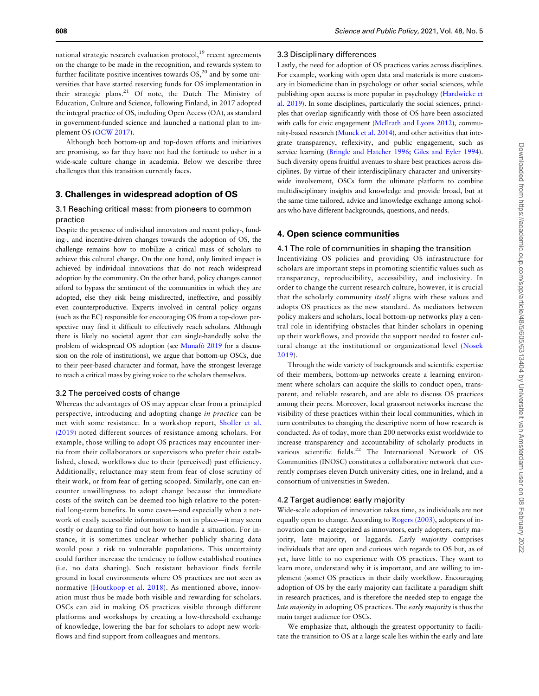national strategic research evaluation protocol,<sup>19</sup> recent agreements on the change to be made in the recognition, and rewards system to further facilitate positive incentives towards  $OS<sub>1</sub><sup>20</sup>$  and by some universities that have started reserving funds for OS implementation in their strategic plans.<sup>21</sup> Of note, the Dutch The Ministry of Education, Culture and Science, following Finland, in 2017 adopted the integral practice of OS, including Open Access (OA), as standard in government-funded science and launched a national plan to implement OS ([OCW 2017\)](#page-7-0).

Although both bottom-up and top-down efforts and initiatives are promising, so far they have not had the fortitude to usher in a wide-scale culture change in academia. Below we describe three challenges that this transition currently faces.

### 3. Challenges in widespread adoption of OS

# 3.1 Reaching critical mass: from pioneers to common practice

Despite the presence of individual innovators and recent policy-, funding-, and incentive-driven changes towards the adoption of OS, the challenge remains how to mobilize a critical mass of scholars to achieve this cultural change. On the one hand, only limited impact is achieved by individual innovations that do not reach widespread adoption by the community. On the other hand, policy changes cannot afford to bypass the sentiment of the communities in which they are adopted, else they risk being misdirected, ineffective, and possibly even counterproductive. Experts involved in central policy organs (such as the EC) responsible for encouraging OS from a top-down perspective may find it difficult to effectively reach scholars. Although there is likely no societal agent that can single-handedly solve the problem of widespread OS adoption (see [Munafo` 2019](#page-7-0) for a discussion on the role of institutions), we argue that bottom-up OSCs, due to their peer-based character and format, have the strongest leverage to reach a critical mass by giving voice to the scholars themselves.

#### 3.2 The perceived costs of change

Whereas the advantages of OS may appear clear from a principled perspective, introducing and adopting change in practice can be met with some resistance. In a workshop report, [Sholler et al.](#page-7-0) [\(2019\)](#page-7-0) noted different sources of resistance among scholars. For example, those willing to adopt OS practices may encounter inertia from their collaborators or supervisors who prefer their established, closed, workflows due to their (perceived) past efficiency. Additionally, reluctance may stem from fear of close scrutiny of their work, or from fear of getting scooped. Similarly, one can encounter unwillingness to adopt change because the immediate costs of the switch can be deemed too high relative to the potential long-term benefits. In some cases—and especially when a network of easily accessible information is not in place—it may seem costly or daunting to find out how to handle a situation. For instance, it is sometimes unclear whether publicly sharing data would pose a risk to vulnerable populations. This uncertainty could further increase the tendency to follow established routines (i.e. no data sharing). Such resistant behaviour finds fertile ground in local environments where OS practices are not seen as normative ([Houtkoop et al. 2018\)](#page-7-0). As mentioned above, innovation must thus be made both visible and rewarding for scholars. OSCs can aid in making OS practices visible through different platforms and workshops by creating a low-threshold exchange of knowledge, lowering the bar for scholars to adopt new workflows and find support from colleagues and mentors.

#### 3.3 Disciplinary differences

Lastly, the need for adoption of OS practices varies across disciplines. For example, working with open data and materials is more customary in biomedicine than in psychology or other social sciences, while publishing open access is more popular in psychology [\(Hardwicke et](#page-7-0) [al. 2019](#page-7-0)). In some disciplines, particularly the social sciences, principles that overlap significantly with those of OS have been associated with calls for civic engagement ([McIlrath and Lyons 2012\)](#page-7-0), community-based research [\(Munck et al. 2014](#page-7-0)), and other activities that integrate transparency, reflexivity, and public engagement, such as service learning [\(Bringle and Hatcher 1996;](#page-7-0) [Giles and Eyler 1994](#page-7-0)). Such diversity opens fruitful avenues to share best practices across disciplines. By virtue of their interdisciplinary character and universitywide involvement, OSCs form the ultimate platform to combine multidisciplinary insights and knowledge and provide broad, but at the same time tailored, advice and knowledge exchange among scholars who have different backgrounds, questions, and needs.

#### 4. Open science communities

#### 4.1 The role of communities in shaping the transition

Incentivizing OS policies and providing OS infrastructure for scholars are important steps in promoting scientific values such as transparency, reproducibility, accessibility, and inclusivity. In order to change the current research culture, however, it is crucial that the scholarly community itself aligns with these values and adopts OS practices as the new standard. As mediators between policy makers and scholars, local bottom-up networks play a central role in identifying obstacles that hinder scholars in opening up their workflows, and provide the support needed to foster cultural change at the institutional or organizational level [\(Nosek](#page-7-0) [2019](#page-7-0)).

Through the wide variety of backgrounds and scientific expertise of their members, bottom-up networks create a learning environment where scholars can acquire the skills to conduct open, transparent, and reliable research, and are able to discuss OS practices among their peers. Moreover, local grassroot networks increase the visibility of these practices within their local communities, which in turn contributes to changing the descriptive norm of how research is conducted. As of today, more than 200 networks exist worldwide to increase transparency and accountability of scholarly products in various scientific fields.<sup>22</sup> The International Network of OS Communities (INOSC) constitutes a collaborative network that currently comprises eleven Dutch university cities, one in Ireland, and a consortium of universities in Sweden.

#### 4.2 Target audience: early majority

Wide-scale adoption of innovation takes time, as individuals are not equally open to change. According to [Rogers \(2003\)](#page-7-0), adopters of innovation can be categorized as innovators, early adopters, early majority, late majority, or laggards. Early majority comprises individuals that are open and curious with regards to OS but, as of yet, have little to no experience with OS practices. They want to learn more, understand why it is important, and are willing to implement (some) OS practices in their daily workflow. Encouraging adoption of OS by the early majority can facilitate a paradigm shift in research practices, and is therefore the needed step to engage the late majority in adopting OS practices. The early majority is thus the main target audience for OSCs.

We emphasize that, although the greatest opportunity to facilitate the transition to OS at a large scale lies within the early and late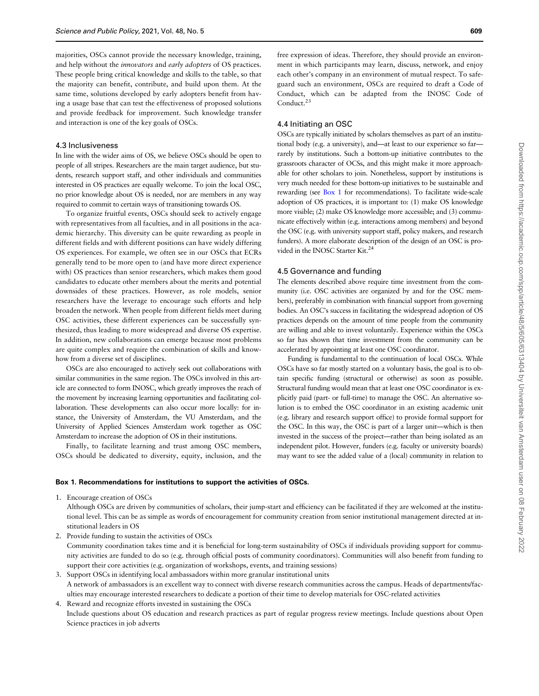majorities, OSCs cannot provide the necessary knowledge, training, and help without the innovators and early adopters of OS practices. These people bring critical knowledge and skills to the table, so that the majority can benefit, contribute, and build upon them. At the same time, solutions developed by early adopters benefit from having a usage base that can test the effectiveness of proposed solutions and provide feedback for improvement. Such knowledge transfer and interaction is one of the key goals of OSCs.

#### 4.3 Inclusiveness

In line with the wider aims of OS, we believe OSCs should be open to people of all stripes. Researchers are the main target audience, but students, research support staff, and other individuals and communities interested in OS practices are equally welcome. To join the local OSC, no prior knowledge about OS is needed, nor are members in any way required to commit to certain ways of transitioning towards OS.

To organize fruitful events, OSCs should seek to actively engage with representatives from all faculties, and in all positions in the academic hierarchy. This diversity can be quite rewarding as people in different fields and with different positions can have widely differing OS experiences. For example, we often see in our OSCs that ECRs generally tend to be more open to (and have more direct experience with) OS practices than senior researchers, which makes them good candidates to educate other members about the merits and potential downsides of these practices. However, as role models, senior researchers have the leverage to encourage such efforts and help broaden the network. When people from different fields meet during OSC activities, these different experiences can be successfully synthesized, thus leading to more widespread and diverse OS expertise. In addition, new collaborations can emerge because most problems are quite complex and require the combination of skills and knowhow from a diverse set of disciplines.

OSCs are also encouraged to actively seek out collaborations with similar communities in the same region. The OSCs involved in this article are connected to form INOSC, which greatly improves the reach of the movement by increasing learning opportunities and facilitating collaboration. These developments can also occur more locally: for instance, the University of Amsterdam, the VU Amsterdam, and the University of Applied Sciences Amsterdam work together as OSC Amsterdam to increase the adoption of OS in their institutions.

Finally, to facilitate learning and trust among OSC members, OSCs should be dedicated to diversity, equity, inclusion, and the

free expression of ideas. Therefore, they should provide an environment in which participants may learn, discuss, network, and enjoy each other's company in an environment of mutual respect. To safeguard such an environment, OSCs are required to draft a Code of Conduct, which can be adapted from the INOSC Code of Conduct.<sup>23</sup>

#### 4.4 Initiating an OSC

OSCs are typically initiated by scholars themselves as part of an institutional body (e.g. a university), and—at least to our experience so far rarely by institutions. Such a bottom-up initiative contributes to the grassroots character of OCSs, and this might make it more approachable for other scholars to join. Nonetheless, support by institutions is very much needed for these bottom-up initiatives to be sustainable and rewarding (see Box 1 for recommendations). To facilitate wide-scale adoption of OS practices, it is important to: (1) make OS knowledge more visible; (2) make OS knowledge more accessible; and (3) communicate effectively within (e.g. interactions among members) and beyond the OSC (e.g. with university support staff, policy makers, and research funders). A more elaborate description of the design of an OSC is provided in the INOSC Starter Kit.<sup>24</sup>

### 4.5 Governance and funding

The elements described above require time investment from the community (i.e. OSC activities are organized by and for the OSC members), preferably in combination with financial support from governing bodies. An OSC's success in facilitating the widespread adoption of OS practices depends on the amount of time people from the community are willing and able to invest voluntarily. Experience within the OSCs so far has shown that time investment from the community can be accelerated by appointing at least one OSC coordinator.

Funding is fundamental to the continuation of local OSCs. While OSCs have so far mostly started on a voluntary basis, the goal is to obtain specific funding (structural or otherwise) as soon as possible. Structural funding would mean that at least one OSC coordinator is explicitly paid (part- or full-time) to manage the OSC. An alternative solution is to embed the OSC coordinator in an existing academic unit (e.g. library and research support office) to provide formal support for the OSC. In this way, the OSC is part of a larger unit—which is then invested in the success of the project—rather than being isolated as an independent pilot. However, funders (e.g. faculty or university boards) may want to see the added value of a (local) community in relation to

#### Box 1. Recommendations for institutions to support the activities of OSCs.

1. Encourage creation of OSCs

Although OSCs are driven by communities of scholars, their jump-start and efficiency can be facilitated if they are welcomed at the institutional level. This can be as simple as words of encouragement for community creation from senior institutional management directed at institutional leaders in OS

2. Provide funding to sustain the activities of OSCs Community coordination takes time and it is beneficial for long-term sustainability of OSCs if individuals providing support for community activities are funded to do so (e.g. through official posts of community coordinators). Communities will also benefit from funding to support their core activities (e.g. organization of workshops, events, and training sessions)

3. Support OSCs in identifying local ambassadors within more granular institutional units A network of ambassadors is an excellent way to connect with diverse research communities across the campus. Heads of departments/faculties may encourage interested researchers to dedicate a portion of their time to develop materials for OSC-related activities

4. Reward and recognize efforts invested in sustaining the OSCs Include questions about OS education and research practices as part of regular progress review meetings. Include questions about Open Science practices in job adverts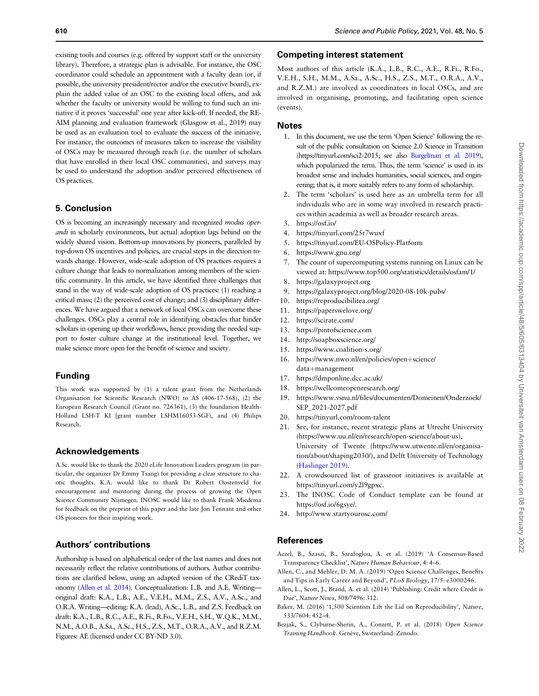<span id="page-6-0"></span>existing tools and courses (e.g. offered by support staff or the university library). Therefore, a strategic plan is advisable. For instance, the OSC coordinator could schedule an appointment with a faculty dean (or, if possible, the university president/rector and/or the executive board), explain the added value of an OSC to the existing local offers, and ask whether the faculty or university would be willing to fund such an initiative if it proves 'successful' one year after kick-off. If needed, the RE-AIM planning and evaluation framework (Glasgow et al., 2019) may be used as an evaluation tool to evaluate the success of the initiative. For instance, the outcomes of measures taken to increase the visibility of OSCs may be measured through reach (i.e. the number of scholars that have enrolled in their local OSC communities), and surveys may be used to understand the adoption and/or perceived effectiveness of OS practices.

# 5. Conclusion

OS is becoming an increasingly necessary and recognized modus operandi in scholarly environments, but actual adoption lags behind on the widely shared vision. Bottom-up innovations by pioneers, paralleled by top-down OS incentives and policies, are crucial steps in the direction towards change. However, wide-scale adoption of OS practices requires a culture change that leads to normalization among members of the scientific community. In this article, we have identified three challenges that stand in the way of wide-scale adoption of OS practices: (1) reaching a critical mass; (2) the perceived cost of change; and (3) disciplinary differences. We have argued that a network of local OSCs can overcome these challenges. OSCs play a central role in identifying obstacles that hinder scholars in opening up their workflows, hence providing the needed support to foster culture change at the institutional level. Together, we make science more open for the benefit of science and society.

# Funding

This work was supported by (1) a talent grant from the Netherlands Organisation for Scientific Research (NWO) to AS (406-17-568), (2) the European Research Council (Grant no. 726361), (3) the foundation Health-Holland LSH-T KI [grant number LSHM16053-SGF), and (4) Philips Research.

# Acknowledgements

A.Sc. would like to thank the 2020 eLife Innovation Leaders program (in particular, the organizer Dr Emmy Tsang) for providing a clear structure to chaotic thoughts. K.A. would like to thank Dr Robert Oostenveld for encouragement and mentoring during the process of growing the Open Science Community Nijmegen. INOSC would like to thank Frank Miedema for feedback on the preprint of this paper and the late Jon Tennant and other OS pioneers for their inspiring work.

# Authors' contributions

Authorship is based on alphabetical order of the last names and does not necessarily reflect the relative contributions of authors. Author contributions are clarified below, using an adapted version of the CRediT taxonomy (Allen et al. 2014). Conceptualization: L.B. and A.E. Writing original draft: K.A., L.B., A.E., V.E.H., M.M., Z.S., A.V., A.Sc., and O.R.A. Writing—editing: K.A. (lead), A.Sc., L.B., and Z.S. Feedback on draft: K.A., L.B., R.C., A.E., R.Fi., R.Fo., V.E.H., S.H., W.Q.K., M.M., N.M., A.O.B., A.Sa., A.Sc., H.S., Z.S., M.T., O.R.A., A.V., and R.Z.M. Figures: AE (licensed under CC BY-ND 3.0).

## Competing interest statement

Most authors of this article (K.A., L.B., R.C., A.E., R.Fi., R.Fo., V.E.H., S.H., M.M., A.Sa., A.Sc., H.S., Z.S., M.T., O.R.A., A.V., and R.Z.M.) are involved as coordinators in local OSCs, and are involved in organising, promoting, and facilitating open science (events).

# **Notes**

- 1. In this document, we use the term 'Open Science' following the result of the public consultation on Science 2.0 Science in Transition (https://tinyurl.com/sci2-2015; see also [Burgelman et al. 2019\)](#page-7-0), which popularized the term. Thus, the term 'science' is used in its broadest sense and includes humanities, social sciences, and engineering; that is, it more suitably refers to any form of scholarship.
- 2. The term 'scholars' is used here as an umbrella term for all individuals who are in some way involved in research practices within academia as well as broader research areas.
- 3. https://osf.io/
- 4. https://tinyurl.com/25r7wuxf
- 5. https://tinyurl.com/EU-OSPolicy-Platform
- 6. https://www.gnu.org/
- 7. The count of supercomputing systems running on Linux can be viewed at: https://www.top500.org/statistics/details/osfam/1/
- 8. https://galaxyproject.org
- 9. https://galaxyproject.org/blog/2020-08-10k-pubs/
- 10. https://reproducibilitea.org/
- 11. https://paperswelove.org/
- 12. https://scirate.com/
- 13. https://pintofscience.com
- 14. http://soapboxscience.org/
- 15. https://www.coalition-s.org/
- 16. https://www.nwo.nl/en/policies/open+science/ data+management
- 17. https://dmponline.dcc.ac.uk/
- 18. https://wellcomeopenresearch.org/
- 19. https://www.vsnu.nl/files/documenten/Domeinen/Onderzoek/ SEP\_2021-2027.pdf
- 20. https://tinyurl.com/room-talent
- 21. See, for instance, recent strategic plans at Utrecht University (https://www.uu.nl/en/research/open-science/about-us), University of Twente (https://www.utwente.nl/en/organisation/about/shaping2030/), and Delft University of Technology ([Haslinger 2019](#page-7-0)).
- 22. A crowdsourced list of grassroot initiatives is available at https://tinyurl.com/y2l9gpxc.
- 23. The INOSC Code of Conduct template can be found at https://osf.io/6gsye/.
- 24. http://www.startyourosc.com/

# References

- Aczel, B., Szaszi, B., Sarafoglou, A. et al. (2019) 'A Consensus-Based Transparency Checklist', Nature Human Behaviour, 4: 4–6.
- Allen, C., and Mehler, D. M. A. (2019) 'Open Science Challenges, Benefits and Tips in Early Career and Beyond', PLoS Biology, 17/5: e3000246.
- Allen, L., Scott, J., Brand, A. et al. (2014) 'Publishing: Credit where Credit is Due', Nature News, 508/7496: 312.
- Baker, M. (2016) '1,500 Scientists Lift the Lid on Reproducibility', Nature, 533/7604: 452–4.
- Bezjak, S., Clyburne-Sherin, A., Conzett, P. et al. (2018) Open Science Training Handbook. Genève, Switzerland: Zenodo.